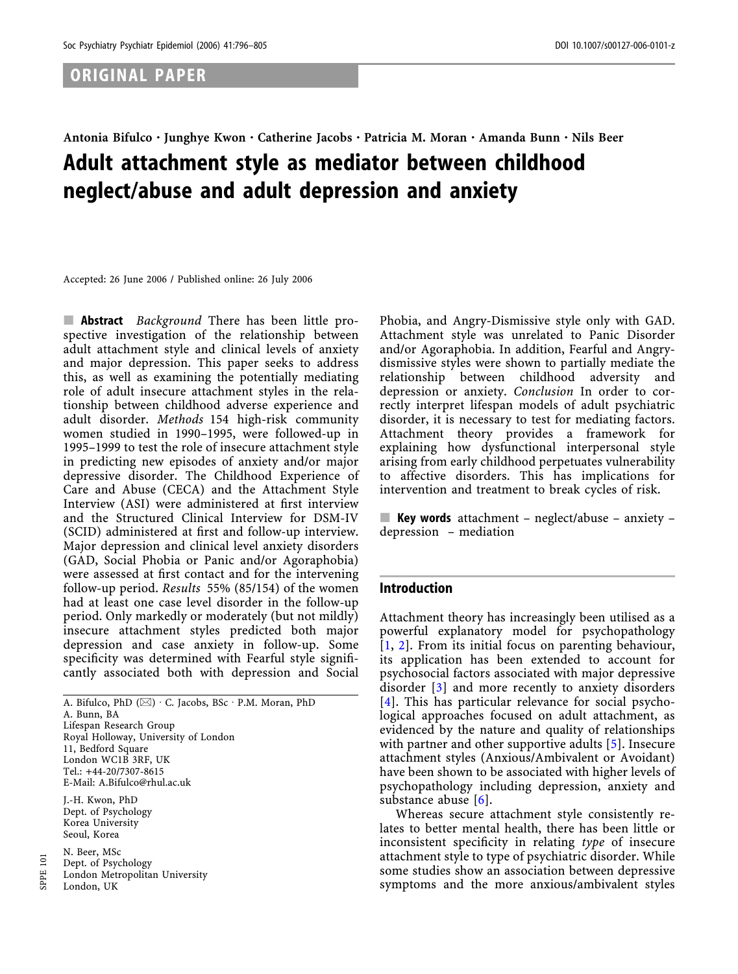## ORIGINAL PAPER

# Antonia Bifulco · Junghye Kwon · Catherine Jacobs · Patricia M. Moran · Amanda Bunn · Nils Beer Adult attachment style as mediator between childhood neglect/abuse and adult depression and anxiety

Accepted: 26 June 2006 / Published online: 26 July 2006

**E** Abstract *Background* There has been little prospective investigation of the relationship between adult attachment style and clinical levels of anxiety and major depression. This paper seeks to address this, as well as examining the potentially mediating role of adult insecure attachment styles in the relationship between childhood adverse experience and adult disorder. Methods 154 high-risk community women studied in 1990–1995, were followed-up in 1995–1999 to test the role of insecure attachment style in predicting new episodes of anxiety and/or major depressive disorder. The Childhood Experience of Care and Abuse (CECA) and the Attachment Style Interview (ASI) were administered at first interview and the Structured Clinical Interview for DSM-IV (SCID) administered at first and follow-up interview. Major depression and clinical level anxiety disorders (GAD, Social Phobia or Panic and/or Agoraphobia) were assessed at first contact and for the intervening follow-up period. Results 55% (85/154) of the women had at least one case level disorder in the follow-up period. Only markedly or moderately (but not mildly) insecure attachment styles predicted both major depression and case anxiety in follow-up. Some specificity was determined with Fearful style significantly associated both with depression and Social

A. Bifulco, PhD  $(\boxtimes) \cdot$  C. Jacobs, BSc  $\cdot$  P.M. Moran, PhD A. Bunn, BA Lifespan Research Group Royal Holloway, University of London 11, Bedford Square London WC1B 3RF, UK Tel.: +44-20/7307-8615 E-Mail: A.Bifulco@rhul.ac.uk J.-H. Kwon, PhD Dept. of Psychology Korea University

Seoul, Korea

N. Beer, MSc Dept. of Psychology London Metropolitan University

London, UK

SPPE 101

 $\overline{a}$ SPPE Phobia, and Angry-Dismissive style only with GAD. Attachment style was unrelated to Panic Disorder and/or Agoraphobia. In addition, Fearful and Angrydismissive styles were shown to partially mediate the relationship between childhood adversity and depression or anxiety. Conclusion In order to correctly interpret lifespan models of adult psychiatric disorder, it is necessary to test for mediating factors. Attachment theory provides a framework for explaining how dysfunctional interpersonal style arising from early childhood perpetuates vulnerability to affective disorders. This has implications for intervention and treatment to break cycles of risk.

**Key words** attachment – neglect/abuse – anxiety – depression – mediation

## Introduction

Attachment theory has increasingly been utilised as a powerful explanatory model for psychopathology [1, 2]. From its initial focus on parenting behaviour, its application has been extended to account for psychosocial factors associated with major depressive disorder [3] and more recently to anxiety disorders [4]. This has particular relevance for social psychological approaches focused on adult attachment, as evidenced by the nature and quality of relationships with partner and other supportive adults [5]. Insecure attachment styles (Anxious/Ambivalent or Avoidant) have been shown to be associated with higher levels of psychopathology including depression, anxiety and substance abuse [6].

Whereas secure attachment style consistently relates to better mental health, there has been little or inconsistent specificity in relating type of insecure attachment style to type of psychiatric disorder. While some studies show an association between depressive symptoms and the more anxious/ambivalent styles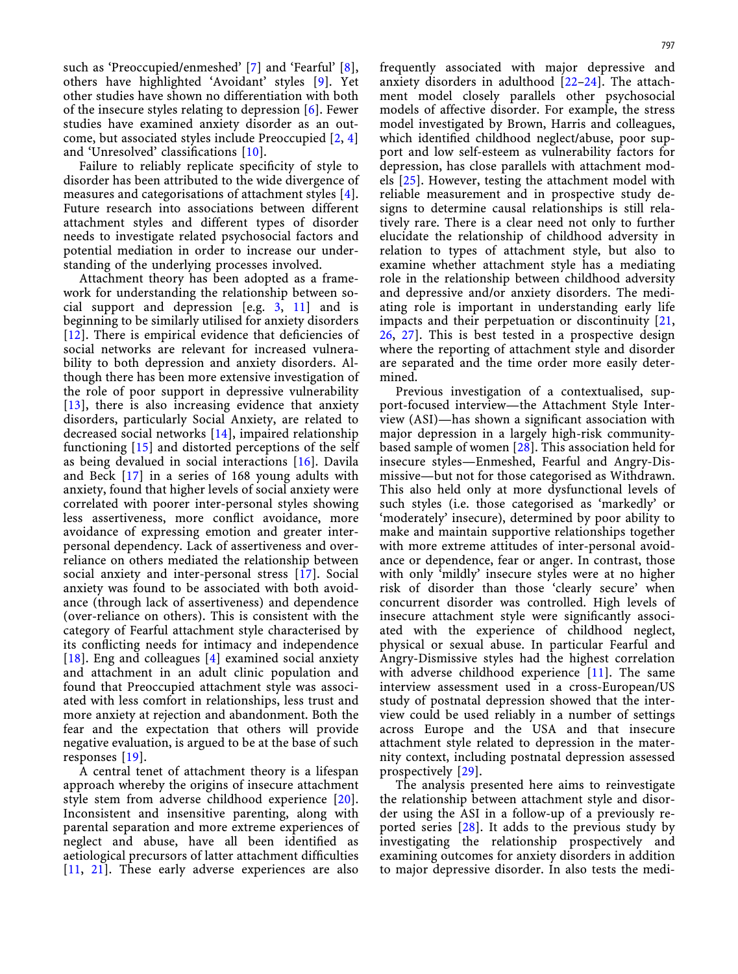such as 'Preoccupied/enmeshed' [7] and 'Fearful' [8], others have highlighted 'Avoidant' styles [9]. Yet other studies have shown no differentiation with both of the insecure styles relating to depression [6]. Fewer studies have examined anxiety disorder as an outcome, but associated styles include Preoccupied [2, 4] and 'Unresolved' classifications [10].

Failure to reliably replicate specificity of style to disorder has been attributed to the wide divergence of measures and categorisations of attachment styles [4]. Future research into associations between different attachment styles and different types of disorder needs to investigate related psychosocial factors and potential mediation in order to increase our understanding of the underlying processes involved.

Attachment theory has been adopted as a framework for understanding the relationship between social support and depression [e.g. 3, 11] and is beginning to be similarly utilised for anxiety disorders [12]. There is empirical evidence that deficiencies of social networks are relevant for increased vulnerability to both depression and anxiety disorders. Although there has been more extensive investigation of the role of poor support in depressive vulnerability [13], there is also increasing evidence that anxiety disorders, particularly Social Anxiety, are related to decreased social networks [14], impaired relationship functioning [15] and distorted perceptions of the self as being devalued in social interactions [16]. Davila and Beck [17] in a series of 168 young adults with anxiety, found that higher levels of social anxiety were correlated with poorer inter-personal styles showing less assertiveness, more conflict avoidance, more avoidance of expressing emotion and greater interpersonal dependency. Lack of assertiveness and overreliance on others mediated the relationship between social anxiety and inter-personal stress [17]. Social anxiety was found to be associated with both avoidance (through lack of assertiveness) and dependence (over-reliance on others). This is consistent with the category of Fearful attachment style characterised by its conflicting needs for intimacy and independence [18]. Eng and colleagues [4] examined social anxiety and attachment in an adult clinic population and found that Preoccupied attachment style was associated with less comfort in relationships, less trust and more anxiety at rejection and abandonment. Both the fear and the expectation that others will provide negative evaluation, is argued to be at the base of such responses [19].

A central tenet of attachment theory is a lifespan approach whereby the origins of insecure attachment style stem from adverse childhood experience [20]. Inconsistent and insensitive parenting, along with parental separation and more extreme experiences of neglect and abuse, have all been identified as aetiological precursors of latter attachment difficulties [11, 21]. These early adverse experiences are also

frequently associated with major depressive and anxiety disorders in adulthood [22–24]. The attachment model closely parallels other psychosocial models of affective disorder. For example, the stress model investigated by Brown, Harris and colleagues, which identified childhood neglect/abuse, poor support and low self-esteem as vulnerability factors for depression, has close parallels with attachment models [25]. However, testing the attachment model with reliable measurement and in prospective study designs to determine causal relationships is still relatively rare. There is a clear need not only to further elucidate the relationship of childhood adversity in relation to types of attachment style, but also to examine whether attachment style has a mediating role in the relationship between childhood adversity and depressive and/or anxiety disorders. The mediating role is important in understanding early life impacts and their perpetuation or discontinuity [21, 26, 27]. This is best tested in a prospective design where the reporting of attachment style and disorder are separated and the time order more easily determined.

Previous investigation of a contextualised, support-focused interview—the Attachment Style Interview (ASI)—has shown a significant association with major depression in a largely high-risk communitybased sample of women [28]. This association held for insecure styles—Enmeshed, Fearful and Angry-Dismissive—but not for those categorised as Withdrawn. This also held only at more dysfunctional levels of such styles (i.e. those categorised as 'markedly' or 'moderately' insecure), determined by poor ability to make and maintain supportive relationships together with more extreme attitudes of inter-personal avoidance or dependence, fear or anger. In contrast, those with only 'mildly' insecure styles were at no higher risk of disorder than those 'clearly secure' when concurrent disorder was controlled. High levels of insecure attachment style were significantly associated with the experience of childhood neglect, physical or sexual abuse. In particular Fearful and Angry-Dismissive styles had the highest correlation with adverse childhood experience [11]. The same interview assessment used in a cross-European/US study of postnatal depression showed that the interview could be used reliably in a number of settings across Europe and the USA and that insecure attachment style related to depression in the maternity context, including postnatal depression assessed prospectively [29].

The analysis presented here aims to reinvestigate the relationship between attachment style and disorder using the ASI in a follow-up of a previously reported series [28]. It adds to the previous study by investigating the relationship prospectively and examining outcomes for anxiety disorders in addition to major depressive disorder. In also tests the medi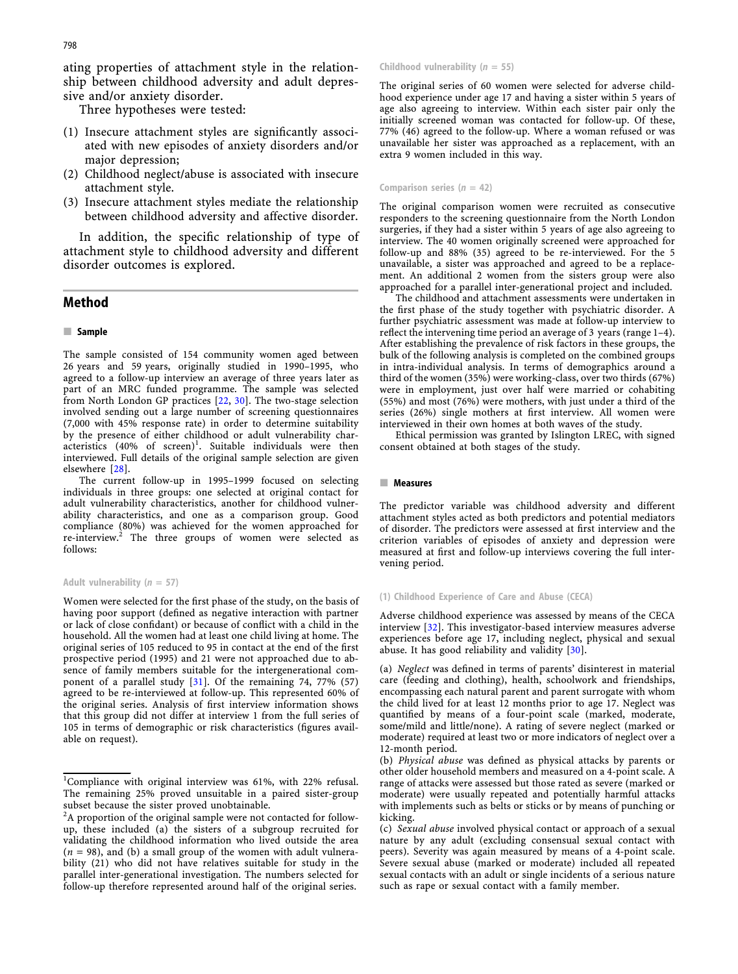ating properties of attachment style in the relationship between childhood adversity and adult depressive and/or anxiety disorder.

Three hypotheses were tested:

- (1) Insecure attachment styles are significantly associated with new episodes of anxiety disorders and/or major depression;
- (2) Childhood neglect/abuse is associated with insecure attachment style.
- (3) Insecure attachment styles mediate the relationship between childhood adversity and affective disorder.

In addition, the specific relationship of type of attachment style to childhood adversity and different disorder outcomes is explored.

## Method

## Sample

The sample consisted of 154 community women aged between 26 years and 59 years, originally studied in 1990–1995, who agreed to a follow-up interview an average of three years later as part of an MRC funded programme. The sample was selected from North London GP practices [22, 30]. The two-stage selection involved sending out a large number of screening questionnaires (7,000 with 45% response rate) in order to determine suitability by the presence of either childhood or adult vulnerability characteristics (40% of screen)<sup>1</sup>. Suitable individuals were then interviewed. Full details of the original sample selection are given elsewhere [28].

The current follow-up in 1995–1999 focused on selecting individuals in three groups: one selected at original contact for adult vulnerability characteristics, another for childhood vulnerability characteristics, and one as a comparison group. Good compliance (80%) was achieved for the women approached for re-interview. $2$  The three groups of women were selected as follows:

#### Adult vulnerability ( $n = 57$ )

Women were selected for the first phase of the study, on the basis of having poor support (defined as negative interaction with partner or lack of close confidant) or because of conflict with a child in the household. All the women had at least one child living at home. The original series of 105 reduced to 95 in contact at the end of the first prospective period (1995) and 21 were not approached due to absence of family members suitable for the intergenerational component of a parallel study [31]. Of the remaining 74, 77% (57) agreed to be re-interviewed at follow-up. This represented 60% of the original series. Analysis of first interview information shows that this group did not differ at interview 1 from the full series of 105 in terms of demographic or risk characteristics (figures available on request).

Childhood vulnerability ( $n = 55$ )

The original series of 60 women were selected for adverse childhood experience under age 17 and having a sister within 5 years of age also agreeing to interview. Within each sister pair only the initially screened woman was contacted for follow-up. Of these, 77% (46) agreed to the follow-up. Where a woman refused or was unavailable her sister was approached as a replacement, with an extra 9 women included in this way.

#### Comparison series ( $n = 42$ )

The original comparison women were recruited as consecutive responders to the screening questionnaire from the North London surgeries, if they had a sister within 5 years of age also agreeing to interview. The 40 women originally screened were approached for follow-up and 88% (35) agreed to be re-interviewed. For the 5 unavailable, a sister was approached and agreed to be a replacement. An additional 2 women from the sisters group were also approached for a parallel inter-generational project and included.

The childhood and attachment assessments were undertaken in the first phase of the study together with psychiatric disorder. A further psychiatric assessment was made at follow-up interview to reflect the intervening time period an average of 3 years (range 1–4). After establishing the prevalence of risk factors in these groups, the bulk of the following analysis is completed on the combined groups in intra-individual analysis. In terms of demographics around a third of the women (35%) were working-class, over two thirds (67%) were in employment, just over half were married or cohabiting (55%) and most (76%) were mothers, with just under a third of the series (26%) single mothers at first interview. All women were interviewed in their own homes at both waves of the study.

Ethical permission was granted by Islington LREC, with signed consent obtained at both stages of the study.

#### $\blacksquare$  Measures

The predictor variable was childhood adversity and different attachment styles acted as both predictors and potential mediators of disorder. The predictors were assessed at first interview and the criterion variables of episodes of anxiety and depression were measured at first and follow-up interviews covering the full intervening period.

#### (1) Childhood Experience of Care and Abuse (CECA)

Adverse childhood experience was assessed by means of the CECA interview [32]. This investigator-based interview measures adverse experiences before age 17, including neglect, physical and sexual abuse. It has good reliability and validity [30].

(a) Neglect was defined in terms of parents' disinterest in material care (feeding and clothing), health, schoolwork and friendships, encompassing each natural parent and parent surrogate with whom the child lived for at least 12 months prior to age 17. Neglect was quantified by means of a four-point scale (marked, moderate, some/mild and little/none). A rating of severe neglect (marked or moderate) required at least two or more indicators of neglect over a 12-month period.

(b) Physical abuse was defined as physical attacks by parents or other older household members and measured on a 4-point scale. A range of attacks were assessed but those rated as severe (marked or moderate) were usually repeated and potentially harmful attacks with implements such as belts or sticks or by means of punching or kicking.

(c) Sexual abuse involved physical contact or approach of a sexual nature by any adult (excluding consensual sexual contact with peers). Severity was again measured by means of a 4-point scale. Severe sexual abuse (marked or moderate) included all repeated sexual contacts with an adult or single incidents of a serious nature such as rape or sexual contact with a family member.

<sup>&</sup>lt;sup>1</sup>Compliance with original interview was 61%, with 22% refusal. The remaining 25% proved unsuitable in a paired sister-group subset because the sister proved unobtainable.

 $2A$  proportion of the original sample were not contacted for followup, these included (a) the sisters of a subgroup recruited for validating the childhood information who lived outside the area  $(n = 98)$ , and (b) a small group of the women with adult vulnerability (21) who did not have relatives suitable for study in the parallel inter-generational investigation. The numbers selected for follow-up therefore represented around half of the original series.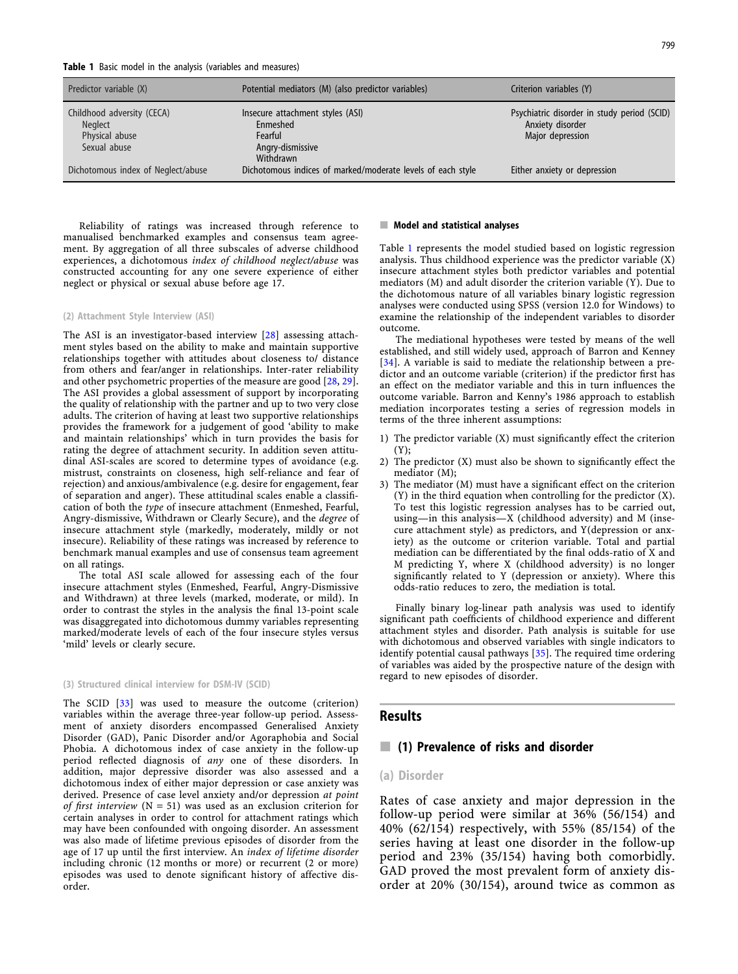#### **Table 1** Basic model in the analysis (variables and measures)

| Predictor variable (X)                                                  | Potential mediators (M) (also predictor variables)                                       | Criterion variables (Y)                                                             |
|-------------------------------------------------------------------------|------------------------------------------------------------------------------------------|-------------------------------------------------------------------------------------|
| Childhood adversity (CECA)<br>Neglect<br>Physical abuse<br>Sexual abuse | Insecure attachment styles (ASI)<br>Enmeshed<br>Fearful<br>Angry-dismissive<br>Withdrawn | Psychiatric disorder in study period (SCID)<br>Anxiety disorder<br>Major depression |
| Dichotomous index of Neglect/abuse                                      | Dichotomous indices of marked/moderate levels of each style                              | Either anxiety or depression                                                        |

Reliability of ratings was increased through reference to manualised benchmarked examples and consensus team agreement. By aggregation of all three subscales of adverse childhood experiences, a dichotomous index of childhood neglect/abuse was constructed accounting for any one severe experience of either neglect or physical or sexual abuse before age 17.

#### (2) Attachment Style Interview (ASI)

The ASI is an investigator-based interview [28] assessing attachment styles based on the ability to make and maintain supportive relationships together with attitudes about closeness to/ distance from others and fear/anger in relationships. Inter-rater reliability and other psychometric properties of the measure are good [28, 29]. The ASI provides a global assessment of support by incorporating the quality of relationship with the partner and up to two very close adults. The criterion of having at least two supportive relationships provides the framework for a judgement of good 'ability to make and maintain relationships' which in turn provides the basis for rating the degree of attachment security. In addition seven attitudinal ASI-scales are scored to determine types of avoidance (e.g. mistrust, constraints on closeness, high self-reliance and fear of rejection) and anxious/ambivalence (e.g. desire for engagement, fear of separation and anger). These attitudinal scales enable a classification of both the type of insecure attachment (Enmeshed, Fearful, Angry-dismissive, Withdrawn or Clearly Secure), and the degree of insecure attachment style (markedly, moderately, mildly or not insecure). Reliability of these ratings was increased by reference to benchmark manual examples and use of consensus team agreement on all ratings.

The total ASI scale allowed for assessing each of the four insecure attachment styles (Enmeshed, Fearful, Angry-Dismissive and Withdrawn) at three levels (marked, moderate, or mild). In order to contrast the styles in the analysis the final 13-point scale was disaggregated into dichotomous dummy variables representing marked/moderate levels of each of the four insecure styles versus 'mild' levels or clearly secure.

#### (3) Structured clinical interview for DSM-IV (SCID)

The SCID [33] was used to measure the outcome (criterion) variables within the average three-year follow-up period. Assessment of anxiety disorders encompassed Generalised Anxiety Disorder (GAD), Panic Disorder and/or Agoraphobia and Social Phobia. A dichotomous index of case anxiety in the follow-up period reflected diagnosis of any one of these disorders. In addition, major depressive disorder was also assessed and a dichotomous index of either major depression or case anxiety was derived. Presence of case level anxiety and/or depression at point of first interview  $(N = 51)$  was used as an exclusion criterion for certain analyses in order to control for attachment ratings which may have been confounded with ongoing disorder. An assessment was also made of lifetime previous episodes of disorder from the age of 17 up until the first interview. An index of lifetime disorder including chronic (12 months or more) or recurrent (2 or more) episodes was used to denote significant history of affective disorder.

#### $\blacksquare$  Model and statistical analyses

Table 1 represents the model studied based on logistic regression analysis. Thus childhood experience was the predictor variable (X) insecure attachment styles both predictor variables and potential mediators (M) and adult disorder the criterion variable (Y). Due to the dichotomous nature of all variables binary logistic regression analyses were conducted using SPSS (version 12.0 for Windows) to examine the relationship of the independent variables to disorder outcome.

The mediational hypotheses were tested by means of the well established, and still widely used, approach of Barron and Kenney [34]. A variable is said to mediate the relationship between a predictor and an outcome variable (criterion) if the predictor first has an effect on the mediator variable and this in turn influences the outcome variable. Barron and Kenny's 1986 approach to establish mediation incorporates testing a series of regression models in terms of the three inherent assumptions:

- 1) The predictor variable (X) must significantly effect the criterion (Y);
- 2) The predictor (X) must also be shown to significantly effect the mediator (M)
- 3) The mediator (M) must have a significant effect on the criterion (Y) in the third equation when controlling for the predictor (X). To test this logistic regression analyses has to be carried out, using—in this analysis—X (childhood adversity) and M (insecure attachment style) as predictors, and Y(depression or anxiety) as the outcome or criterion variable. Total and partial mediation can be differentiated by the final odds-ratio of X and M predicting Y, where X (childhood adversity) is no longer significantly related to Y (depression or anxiety). Where this odds-ratio reduces to zero, the mediation is total.

Finally binary log-linear path analysis was used to identify significant path coefficients of childhood experience and different attachment styles and disorder. Path analysis is suitable for use with dichotomous and observed variables with single indicators to identify potential causal pathways [35]. The required time ordering of variables was aided by the prospective nature of the design with regard to new episodes of disorder.

#### Results

## $\blacksquare$  (1) Prevalence of risks and disorder

#### (a) Disorder

Rates of case anxiety and major depression in the follow-up period were similar at 36% (56/154) and 40% (62/154) respectively, with 55% (85/154) of the series having at least one disorder in the follow-up period and 23% (35/154) having both comorbidly. GAD proved the most prevalent form of anxiety disorder at 20% (30/154), around twice as common as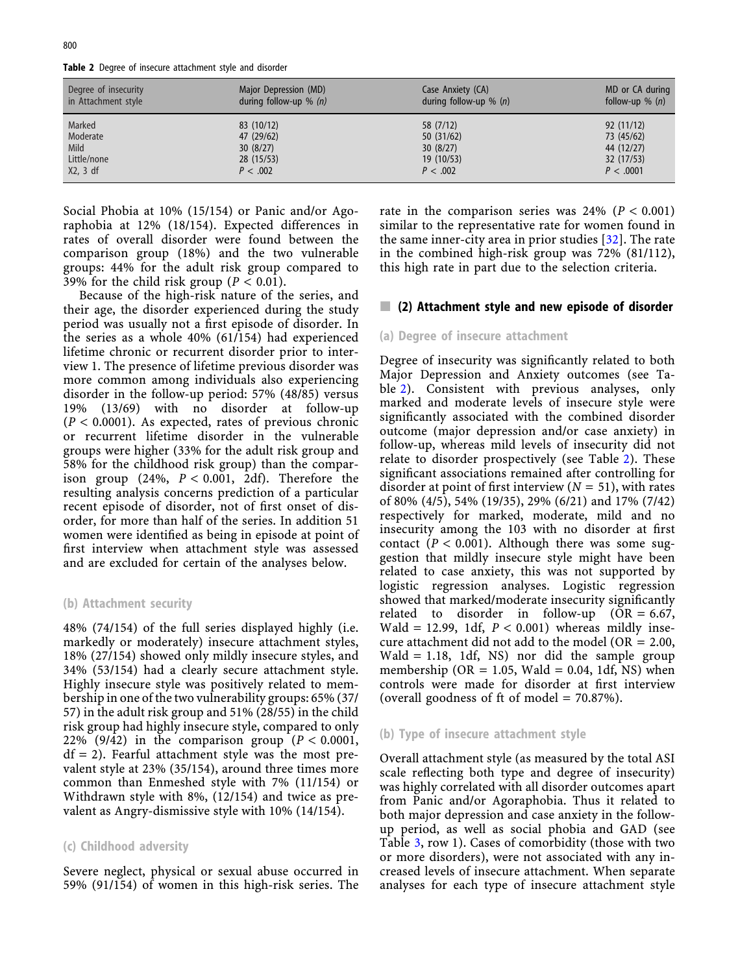| Degree of insecurity | Major Depression (MD)     | Case Anxiety (CA)                  | MD or CA during             |
|----------------------|---------------------------|------------------------------------|-----------------------------|
| in Attachment style  | during follow-up $\%$ (n) | during follow-up $\%$ ( <i>n</i> ) | follow-up $\%$ ( <i>n</i> ) |
| Marked               | 83 (10/12)                | 58 (7/12)                          | 92(11/12)                   |
| Moderate             | 47 (29/62)                | 50(31/62)                          | 73 (45/62)                  |
| Mild                 | 30(8/27)                  | 30(8/27)                           | 44 (12/27)                  |
| Little/none          | 28 (15/53)                | 19(10/53)                          | 32 (17/53)                  |
| X2, 3 df             | P < .002                  | P < .002                           | P < .0001                   |

Social Phobia at 10% (15/154) or Panic and/or Agoraphobia at 12% (18/154). Expected differences in rates of overall disorder were found between the comparison group (18%) and the two vulnerable groups: 44% for the adult risk group compared to 39% for the child risk group ( $P < 0.01$ ).

Because of the high-risk nature of the series, and their age, the disorder experienced during the study period was usually not a first episode of disorder. In the series as a whole 40% (61/154) had experienced lifetime chronic or recurrent disorder prior to interview 1. The presence of lifetime previous disorder was more common among individuals also experiencing disorder in the follow-up period: 57% (48/85) versus 19% (13/69) with no disorder at follow-up  $(P < 0.0001)$ . As expected, rates of previous chronic or recurrent lifetime disorder in the vulnerable groups were higher (33% for the adult risk group and 58% for the childhood risk group) than the comparison group (24%,  $P < 0.001$ , 2df). Therefore the resulting analysis concerns prediction of a particular recent episode of disorder, not of first onset of disorder, for more than half of the series. In addition 51 women were identified as being in episode at point of first interview when attachment style was assessed and are excluded for certain of the analyses below.

## (b) Attachment security

48% (74/154) of the full series displayed highly (i.e. markedly or moderately) insecure attachment styles, 18% (27/154) showed only mildly insecure styles, and 34% (53/154) had a clearly secure attachment style. Highly insecure style was positively related to membership in one of the two vulnerability groups: 65% (37/ 57) in the adult risk group and 51% (28/55) in the child risk group had highly insecure style, compared to only 22% (9/42) in the comparison group ( $P < 0.0001$ ,  $df = 2$ ). Fearful attachment style was the most prevalent style at 23% (35/154), around three times more common than Enmeshed style with 7% (11/154) or Withdrawn style with 8%, (12/154) and twice as prevalent as Angry-dismissive style with 10% (14/154).

## (c) Childhood adversity

Severe neglect, physical or sexual abuse occurred in 59% (91/154) of women in this high-risk series. The rate in the comparison series was  $24\%$  ( $P < 0.001$ ) similar to the representative rate for women found in the same inner-city area in prior studies [32]. The rate in the combined high-risk group was 72% (81/112), this high rate in part due to the selection criteria.

## $\blacksquare$  (2) Attachment style and new episode of disorder

## (a) Degree of insecure attachment

Degree of insecurity was significantly related to both Major Depression and Anxiety outcomes (see Table 2). Consistent with previous analyses, only marked and moderate levels of insecure style were significantly associated with the combined disorder outcome (major depression and/or case anxiety) in follow-up, whereas mild levels of insecurity did not relate to disorder prospectively (see Table 2). These significant associations remained after controlling for disorder at point of first interview ( $N = 51$ ), with rates of 80% (4/5), 54% (19/35), 29% (6/21) and 17% (7/42) respectively for marked, moderate, mild and no insecurity among the 103 with no disorder at first contact ( $P < 0.001$ ). Although there was some suggestion that mildly insecure style might have been related to case anxiety, this was not supported by logistic regression analyses. Logistic regression showed that marked/moderate insecurity significantly related to disorder in follow-up  $(OR = 6.67,$ Wald = 12.99, 1df,  $P < 0.001$ ) whereas mildly insecure attachment did not add to the model ( $OR = 2.00$ , Wald = 1.18, 1df, NS) nor did the sample group membership ( $OR = 1.05$ , Wald = 0.04, 1df, NS) when controls were made for disorder at first interview (overall goodness of ft of model = 70.87%).

## (b) Type of insecure attachment style

Overall attachment style (as measured by the total ASI scale reflecting both type and degree of insecurity) was highly correlated with all disorder outcomes apart from Panic and/or Agoraphobia. Thus it related to both major depression and case anxiety in the followup period, as well as social phobia and GAD (see Table 3, row 1). Cases of comorbidity (those with two or more disorders), were not associated with any increased levels of insecure attachment. When separate analyses for each type of insecure attachment style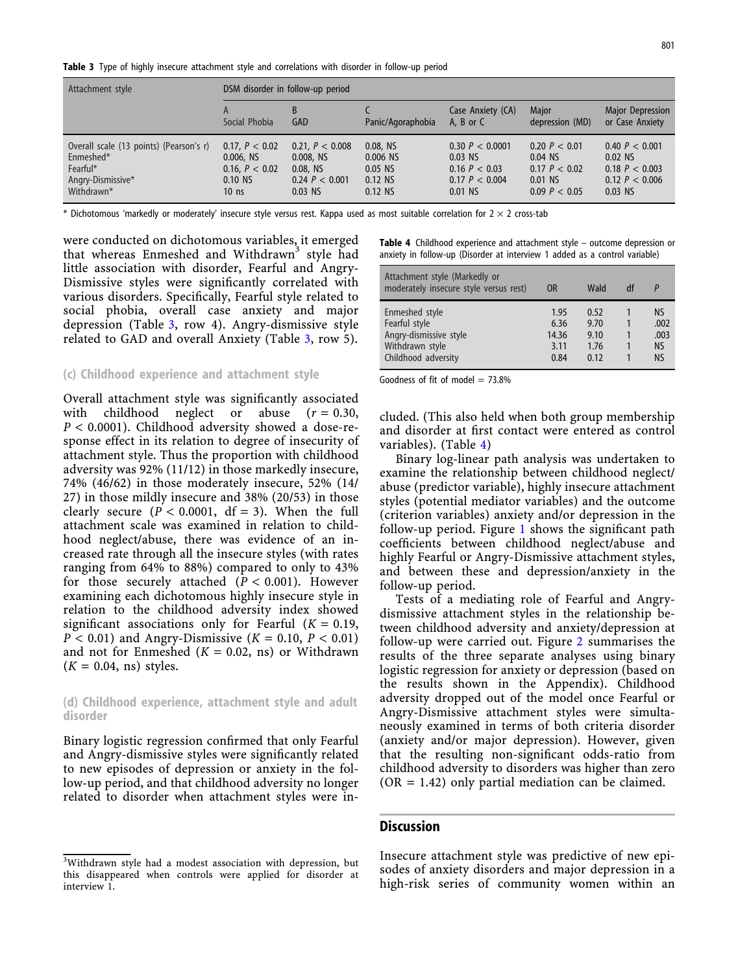Table 3 Type of highly insecure attachment style and correlations with disorder in follow-up period

| Attachment style                                                                                                | DSM disorder in follow-up period                                                   |                                                                                       |                                                             |                                                                            |                                                                         |                                                                              |
|-----------------------------------------------------------------------------------------------------------------|------------------------------------------------------------------------------------|---------------------------------------------------------------------------------------|-------------------------------------------------------------|----------------------------------------------------------------------------|-------------------------------------------------------------------------|------------------------------------------------------------------------------|
|                                                                                                                 | Social Phobia                                                                      | B<br>GAD                                                                              | Panic/Agoraphobia                                           | Case Anxiety (CA)<br>A. B or C                                             | Major<br>depression (MD)                                                | Major Depression<br>or Case Anxiety                                          |
| Overall scale (13 points) (Pearson's r)<br>Enmeshed*<br>Fearful <sup>*</sup><br>Angry-Dismissive*<br>Withdrawn* | 0.17, P < 0.02<br>$0.006.$ NS<br>0.16, $P < 0.02$<br>$0.10$ NS<br>10 <sub>ns</sub> | 0.21, P < 0.008<br>0.008, N <sub>S</sub><br>$0.08.$ NS<br>0.24 P < 0.001<br>$0.03$ NS | $0.08.$ NS<br>0.006 NS<br>0.05 NS<br>$0.12$ NS<br>$0.12$ NS | 0.30 P < 0.0001<br>$0.03$ NS<br>0.16 P < 0.03<br>0.17 P < 0.004<br>0.01 NS | 0.20 P < 0.01<br>$0.04$ NS<br>0.17 P < 0.02<br>0.01 NS<br>0.09 P < 0.05 | 0.40 P < 0.001<br>$0.02$ NS<br>0.18 P < 0.003<br>0.12 P < 0.006<br>$0.03$ NS |

 $*$  Dichotomous 'markedly or moderately' insecure style versus rest. Kappa used as most suitable correlation for  $2 \times 2$  cross-tab

were conducted on dichotomous variables, it emerged that whereas Enmeshed and Withdrawn<sup>3</sup> style had little association with disorder, Fearful and Angry-Dismissive styles were significantly correlated with various disorders. Specifically, Fearful style related to social phobia, overall case anxiety and major depression (Table 3, row 4). Angry-dismissive style related to GAD and overall Anxiety (Table 3, row 5).

## (c) Childhood experience and attachment style

Overall attachment style was significantly associated with childhood neglect or abuse  $(r = 0.30,$  $P < 0.0001$ ). Childhood adversity showed a dose-response effect in its relation to degree of insecurity of attachment style. Thus the proportion with childhood adversity was 92% (11/12) in those markedly insecure, 74% (46/62) in those moderately insecure, 52% (14/ 27) in those mildly insecure and 38% (20/53) in those clearly secure  $(P < 0.0001, df = 3)$ . When the full attachment scale was examined in relation to childhood neglect/abuse, there was evidence of an increased rate through all the insecure styles (with rates ranging from 64% to 88%) compared to only to 43% for those securely attached  $(P < 0.001)$ . However examining each dichotomous highly insecure style in relation to the childhood adversity index showed significant associations only for Fearful  $(K = 0.19,$  $P < 0.01$ ) and Angry-Dismissive ( $K = 0.10, P < 0.01$ ) and not for Enmeshed  $(K = 0.02, \text{ ns})$  or Withdrawn  $(K = 0.04, \text{ns})$  styles.

(d) Childhood experience, attachment style and adult disorder

Binary logistic regression confirmed that only Fearful and Angry-dismissive styles were significantly related to new episodes of depression or anxiety in the follow-up period, and that childhood adversity no longer related to disorder when attachment styles were inTable 4 Childhood experience and attachment style – outcome depression or anxiety in follow-up (Disorder at interview 1 added as a control variable)

| Attachment style (Markedly or<br>moderately insecure style versus rest) | 0R    | Wald | P         |
|-------------------------------------------------------------------------|-------|------|-----------|
| Enmeshed style                                                          | 1.95  | 0.52 | <b>NS</b> |
| Fearful style                                                           | 6.36  | 9.70 | .002      |
| Angry-dismissive style                                                  | 14.36 | 9.10 | .003      |
| Withdrawn style                                                         | 3.11  | 1.76 | <b>NS</b> |
| Childhood adversity                                                     | 0.84  | 0.12 | <b>NS</b> |

Goodness of fit of model  $= 73.8\%$ 

cluded. (This also held when both group membership and disorder at first contact were entered as control variables). (Table 4)

Binary log-linear path analysis was undertaken to examine the relationship between childhood neglect/ abuse (predictor variable), highly insecure attachment styles (potential mediator variables) and the outcome (criterion variables) anxiety and/or depression in the follow-up period. Figure 1 shows the significant path coefficients between childhood neglect/abuse and highly Fearful or Angry-Dismissive attachment styles, and between these and depression/anxiety in the follow-up period.

Tests of a mediating role of Fearful and Angrydismissive attachment styles in the relationship between childhood adversity and anxiety/depression at follow-up were carried out. Figure 2 summarises the results of the three separate analyses using binary logistic regression for anxiety or depression (based on the results shown in the Appendix). Childhood adversity dropped out of the model once Fearful or Angry-Dismissive attachment styles were simultaneously examined in terms of both criteria disorder (anxiety and/or major depression). However, given that the resulting non-significant odds-ratio from childhood adversity to disorders was higher than zero  $(OR = 1.42)$  only partial mediation can be claimed.

## **Discussion**

Insecure attachment style was predictive of new episodes of anxiety disorders and major depression in a high-risk series of community women within an

<sup>&</sup>lt;sup>3</sup>Withdrawn style had a modest association with depression, but this disappeared when controls were applied for disorder at interview 1.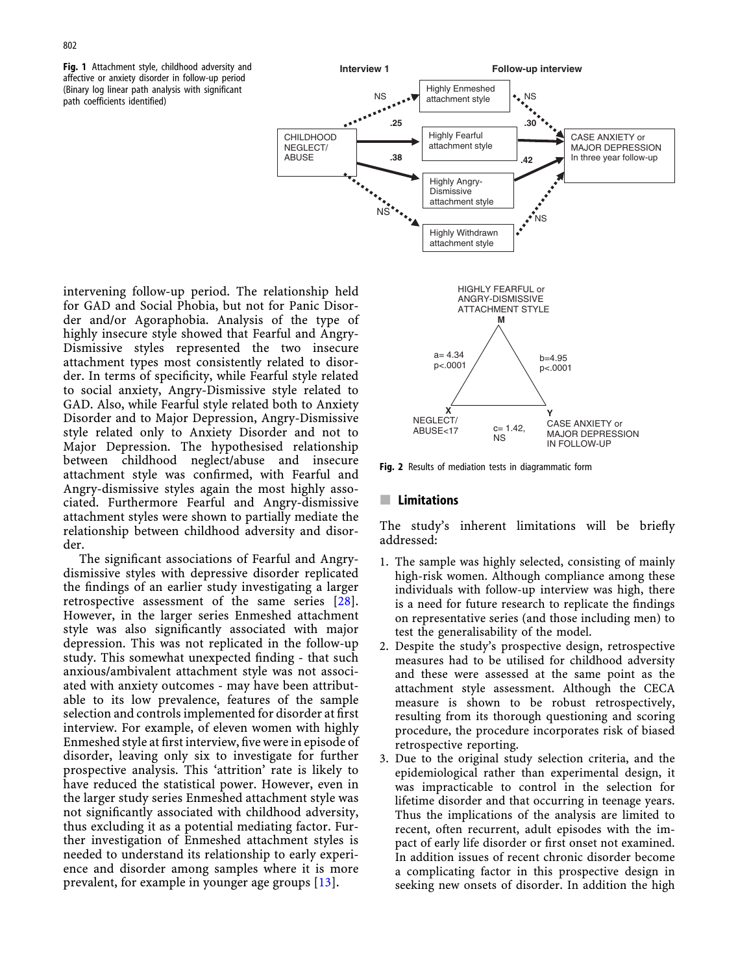



Fig. 2 Results of mediation tests in diagrammatic form

c= 1.42, NS

## $\blacksquare$  Limitations

NEGLECT/ ABUSE<17

The study's inherent limitations will be briefly addressed:

CASE ANXIETY or MAJOR DEPRESSION IN FOLLOW-UP

- 1. The sample was highly selected, consisting of mainly high-risk women. Although compliance among these individuals with follow-up interview was high, there is a need for future research to replicate the findings on representative series (and those including men) to test the generalisability of the model.
- 2. Despite the study's prospective design, retrospective measures had to be utilised for childhood adversity and these were assessed at the same point as the attachment style assessment. Although the CECA measure is shown to be robust retrospectively, resulting from its thorough questioning and scoring procedure, the procedure incorporates risk of biased retrospective reporting.
- 3. Due to the original study selection criteria, and the epidemiological rather than experimental design, it was impracticable to control in the selection for lifetime disorder and that occurring in teenage years. Thus the implications of the analysis are limited to recent, often recurrent, adult episodes with the impact of early life disorder or first onset not examined. In addition issues of recent chronic disorder become a complicating factor in this prospective design in seeking new onsets of disorder. In addition the high

intervening follow-up period. The relationship held for GAD and Social Phobia, but not for Panic Disorder and/or Agoraphobia. Analysis of the type of highly insecure style showed that Fearful and Angry-Dismissive styles represented the two insecure attachment types most consistently related to disorder. In terms of specificity, while Fearful style related to social anxiety, Angry-Dismissive style related to GAD. Also, while Fearful style related both to Anxiety Disorder and to Major Depression, Angry-Dismissive style related only to Anxiety Disorder and not to Major Depression. The hypothesised relationship between childhood neglect/abuse and insecure attachment style was confirmed, with Fearful and Angry-dismissive styles again the most highly associated. Furthermore Fearful and Angry-dismissive attachment styles were shown to partially mediate the relationship between childhood adversity and disorder.

The significant associations of Fearful and Angrydismissive styles with depressive disorder replicated the findings of an earlier study investigating a larger retrospective assessment of the same series [28]. However, in the larger series Enmeshed attachment style was also significantly associated with major depression. This was not replicated in the follow-up study. This somewhat unexpected finding - that such anxious/ambivalent attachment style was not associated with anxiety outcomes - may have been attributable to its low prevalence, features of the sample selection and controls implemented for disorder at first interview. For example, of eleven women with highly Enmeshed style at first interview, five were in episode of disorder, leaving only six to investigate for further prospective analysis. This 'attrition' rate is likely to have reduced the statistical power. However, even in the larger study series Enmeshed attachment style was not significantly associated with childhood adversity, thus excluding it as a potential mediating factor. Further investigation of Enmeshed attachment styles is needed to understand its relationship to early experience and disorder among samples where it is more prevalent, for example in younger age groups [13].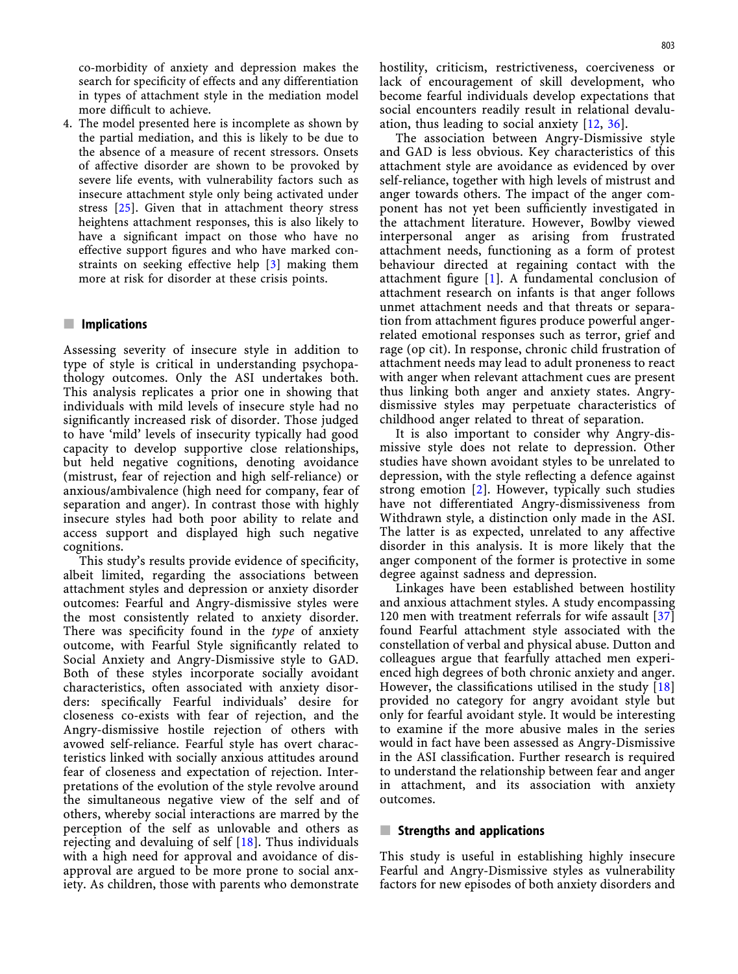co-morbidity of anxiety and depression makes the search for specificity of effects and any differentiation in types of attachment style in the mediation model more difficult to achieve.

4. The model presented here is incomplete as shown by the partial mediation, and this is likely to be due to the absence of a measure of recent stressors. Onsets of affective disorder are shown to be provoked by severe life events, with vulnerability factors such as insecure attachment style only being activated under stress [25]. Given that in attachment theory stress heightens attachment responses, this is also likely to have a significant impact on those who have no effective support figures and who have marked constraints on seeking effective help [3] making them more at risk for disorder at these crisis points.

## $\blacksquare$  Implications

Assessing severity of insecure style in addition to type of style is critical in understanding psychopathology outcomes. Only the ASI undertakes both. This analysis replicates a prior one in showing that individuals with mild levels of insecure style had no significantly increased risk of disorder. Those judged to have 'mild' levels of insecurity typically had good capacity to develop supportive close relationships, but held negative cognitions, denoting avoidance (mistrust, fear of rejection and high self-reliance) or anxious/ambivalence (high need for company, fear of separation and anger). In contrast those with highly insecure styles had both poor ability to relate and access support and displayed high such negative cognitions.

This study's results provide evidence of specificity, albeit limited, regarding the associations between attachment styles and depression or anxiety disorder outcomes: Fearful and Angry-dismissive styles were the most consistently related to anxiety disorder. There was specificity found in the type of anxiety outcome, with Fearful Style significantly related to Social Anxiety and Angry-Dismissive style to GAD. Both of these styles incorporate socially avoidant characteristics, often associated with anxiety disorders: specifically Fearful individuals' desire for closeness co-exists with fear of rejection, and the Angry-dismissive hostile rejection of others with avowed self-reliance. Fearful style has overt characteristics linked with socially anxious attitudes around fear of closeness and expectation of rejection. Interpretations of the evolution of the style revolve around the simultaneous negative view of the self and of others, whereby social interactions are marred by the perception of the self as unlovable and others as rejecting and devaluing of self [18]. Thus individuals with a high need for approval and avoidance of disapproval are argued to be more prone to social anxiety. As children, those with parents who demonstrate

hostility, criticism, restrictiveness, coerciveness or lack of encouragement of skill development, who become fearful individuals develop expectations that social encounters readily result in relational devaluation, thus leading to social anxiety [12, 36].

The association between Angry-Dismissive style and GAD is less obvious. Key characteristics of this attachment style are avoidance as evidenced by over self-reliance, together with high levels of mistrust and anger towards others. The impact of the anger component has not yet been sufficiently investigated in the attachment literature. However, Bowlby viewed interpersonal anger as arising from frustrated attachment needs, functioning as a form of protest behaviour directed at regaining contact with the attachment figure [1]. A fundamental conclusion of attachment research on infants is that anger follows unmet attachment needs and that threats or separation from attachment figures produce powerful angerrelated emotional responses such as terror, grief and rage (op cit). In response, chronic child frustration of attachment needs may lead to adult proneness to react with anger when relevant attachment cues are present thus linking both anger and anxiety states. Angrydismissive styles may perpetuate characteristics of childhood anger related to threat of separation.

It is also important to consider why Angry-dismissive style does not relate to depression. Other studies have shown avoidant styles to be unrelated to depression, with the style reflecting a defence against strong emotion [2]. However, typically such studies have not differentiated Angry-dismissiveness from Withdrawn style, a distinction only made in the ASI. The latter is as expected, unrelated to any affective disorder in this analysis. It is more likely that the anger component of the former is protective in some degree against sadness and depression.

Linkages have been established between hostility and anxious attachment styles. A study encompassing 120 men with treatment referrals for wife assault [37] found Fearful attachment style associated with the constellation of verbal and physical abuse. Dutton and colleagues argue that fearfully attached men experienced high degrees of both chronic anxiety and anger. However, the classifications utilised in the study [18] provided no category for angry avoidant style but only for fearful avoidant style. It would be interesting to examine if the more abusive males in the series would in fact have been assessed as Angry-Dismissive in the ASI classification. Further research is required to understand the relationship between fear and anger in attachment, and its association with anxiety outcomes.

## $\blacksquare$  Strengths and applications

This study is useful in establishing highly insecure Fearful and Angry-Dismissive styles as vulnerability factors for new episodes of both anxiety disorders and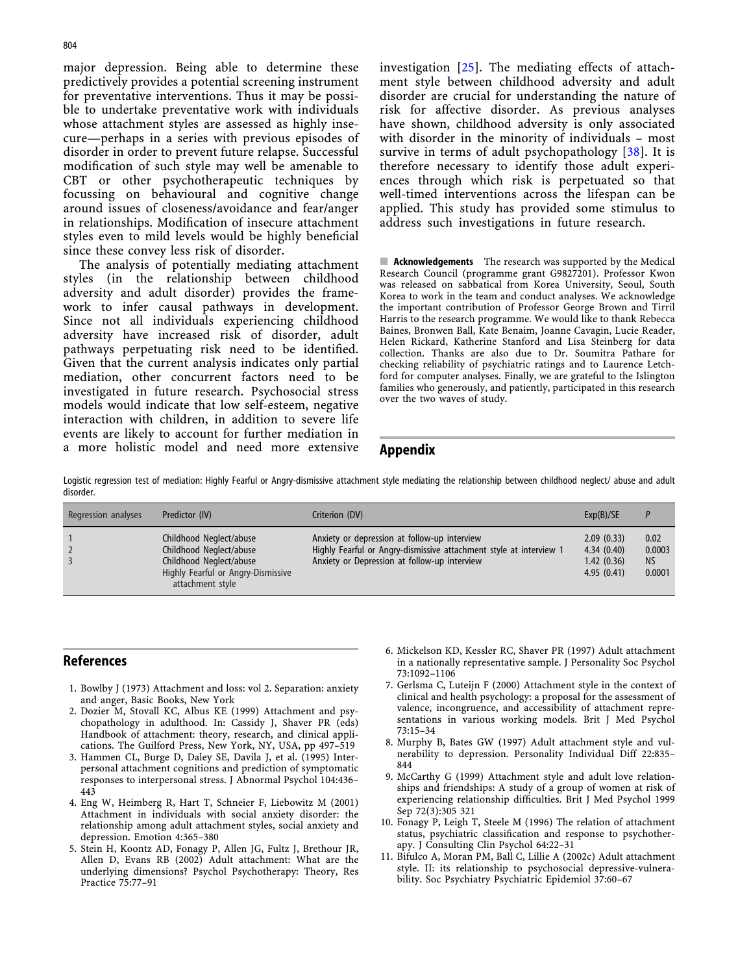major depression. Being able to determine these predictively provides a potential screening instrument for preventative interventions. Thus it may be possible to undertake preventative work with individuals whose attachment styles are assessed as highly insecure—perhaps in a series with previous episodes of disorder in order to prevent future relapse. Successful modification of such style may well be amenable to CBT or other psychotherapeutic techniques by focussing on behavioural and cognitive change around issues of closeness/avoidance and fear/anger in relationships. Modification of insecure attachment styles even to mild levels would be highly beneficial since these convey less risk of disorder.

The analysis of potentially mediating attachment styles (in the relationship between childhood adversity and adult disorder) provides the framework to infer causal pathways in development. Since not all individuals experiencing childhood adversity have increased risk of disorder, adult pathways perpetuating risk need to be identified. Given that the current analysis indicates only partial mediation, other concurrent factors need to be investigated in future research. Psychosocial stress models would indicate that low self-esteem, negative interaction with children, in addition to severe life events are likely to account for further mediation in a more holistic model and need more extensive investigation [25]. The mediating effects of attachment style between childhood adversity and adult disorder are crucial for understanding the nature of risk for affective disorder. As previous analyses have shown, childhood adversity is only associated with disorder in the minority of individuals – most survive in terms of adult psychopathology [38]. It is therefore necessary to identify those adult experiences through which risk is perpetuated so that well-timed interventions across the lifespan can be applied. This study has provided some stimulus to address such investigations in future research.

**E** Acknowledgements The research was supported by the Medical Research Council (programme grant G9827201). Professor Kwon was released on sabbatical from Korea University, Seoul, South Korea to work in the team and conduct analyses. We acknowledge the important contribution of Professor George Brown and Tirril Harris to the research programme. We would like to thank Rebecca Baines, Bronwen Ball, Kate Benaim, Joanne Cavagin, Lucie Reader, Helen Rickard, Katherine Stanford and Lisa Steinberg for data collection. Thanks are also due to Dr. Soumitra Pathare for checking reliability of psychiatric ratings and to Laurence Letchford for computer analyses. Finally, we are grateful to the Islington families who generously, and patiently, participated in this research over the two waves of study.

## Appendix

Logistic regression test of mediation: Highly Fearful or Angry-dismissive attachment style mediating the relationship between childhood neglect/ abuse and adult disorder.

| Regression analyses | Predictor (IV)                                                                                                                          | Criterion (DV)                                                                                                                                                     | Exp(B)/SE                                            |                                       |
|---------------------|-----------------------------------------------------------------------------------------------------------------------------------------|--------------------------------------------------------------------------------------------------------------------------------------------------------------------|------------------------------------------------------|---------------------------------------|
|                     | Childhood Neglect/abuse<br>Childhood Neglect/abuse<br>Childhood Neglect/abuse<br>Highly Fearful or Angry-Dismissive<br>attachment style | Anxiety or depression at follow-up interview<br>Highly Fearful or Angry-dismissive attachment style at interview 1<br>Anxiety or Depression at follow-up interview | 2.09(0.33)<br>4.34(0.40)<br>1.42(0.36)<br>4.95(0.41) | 0.02<br>0.0003<br><b>NS</b><br>0.0001 |

## References

- 1. Bowlby J (1973) Attachment and loss: vol 2. Separation: anxiety and anger, Basic Books, New York
- 2. Dozier M, Stovall KC, Albus KE (1999) Attachment and psychopathology in adulthood. In: Cassidy J, Shaver PR (eds) Handbook of attachment: theory, research, and clinical applications. The Guilford Press, New York, NY, USA, pp 497–519
- 3. Hammen CL, Burge D, Daley SE, Davila J, et al. (1995) Interpersonal attachment cognitions and prediction of symptomatic responses to interpersonal stress. J Abnormal Psychol 104:436– 443
- 4. Eng W, Heimberg R, Hart T, Schneier F, Liebowitz M (2001) Attachment in individuals with social anxiety disorder: the relationship among adult attachment styles, social anxiety and depression. Emotion 4:365–380
- 5. Stein H, Koontz AD, Fonagy P, Allen JG, Fultz J, Brethour JR, Allen D, Evans RB (2002) Adult attachment: What are the underlying dimensions? Psychol Psychotherapy: Theory, Res Practice 75:77–91
- 6. Mickelson KD, Kessler RC, Shaver PR (1997) Adult attachment in a nationally representative sample. J Personality Soc Psychol 73:1092–1106
- 7. Gerlsma C, Luteijn F (2000) Attachment style in the context of clinical and health psychology: a proposal for the assessment of valence, incongruence, and accessibility of attachment representations in various working models. Brit J Med Psychol 73:15–34
- 8. Murphy B, Bates GW (1997) Adult attachment style and vulnerability to depression. Personality Individual Diff 22:835– 844
- 9. McCarthy G (1999) Attachment style and adult love relationships and friendships: A study of a group of women at risk of experiencing relationship difficulties. Brit J Med Psychol 1999 Sep 72(3):305 321
- 10. Fonagy P, Leigh T, Steele M (1996) The relation of attachment status, psychiatric classification and response to psychotherapy. J Consulting Clin Psychol 64:22–31
- 11. Bifulco A, Moran PM, Ball C, Lillie A (2002c) Adult attachment style. II: its relationship to psychosocial depressive-vulnerability. Soc Psychiatry Psychiatric Epidemiol 37:60–67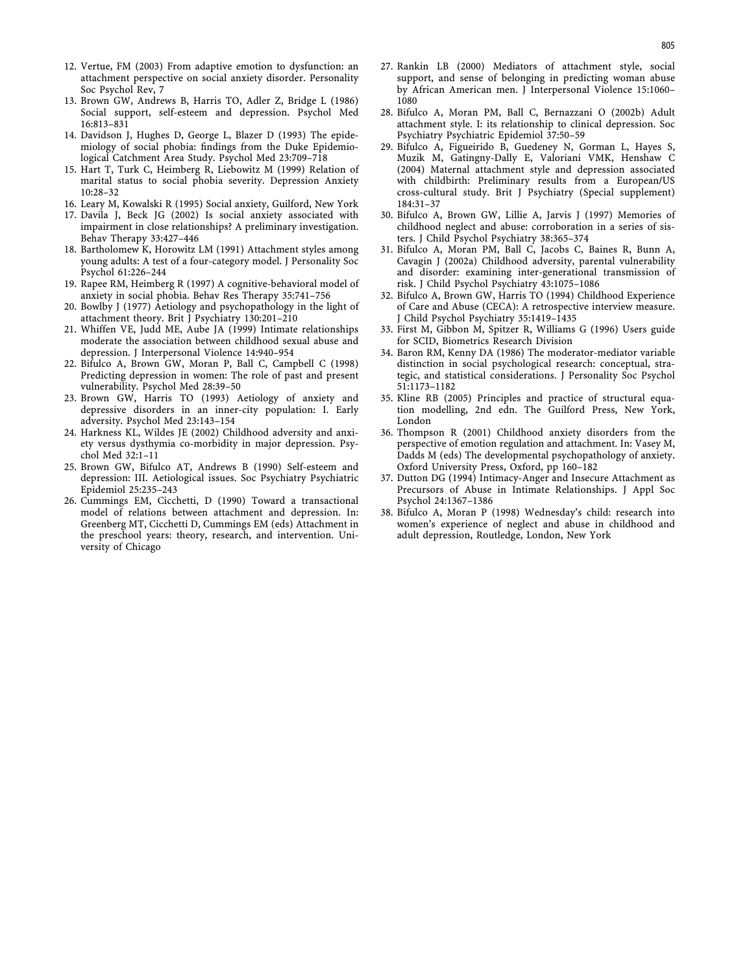- 12. Vertue, FM (2003) From adaptive emotion to dysfunction: an attachment perspective on social anxiety disorder. Personality Soc Psychol Rev, 7
- 13. Brown GW, Andrews B, Harris TO, Adler Z, Bridge L (1986) Social support, self-esteem and depression. Psychol Med 16:813–831
- 14. Davidson J, Hughes D, George L, Blazer D (1993) The epidemiology of social phobia: findings from the Duke Epidemiological Catchment Area Study. Psychol Med 23:709–718
- 15. Hart T, Turk C, Heimberg R, Liebowitz M (1999) Relation of marital status to social phobia severity. Depression Anxiety 10:28–32
- 16. Leary M, Kowalski R (1995) Social anxiety, Guilford, New York
- 17. Davila J, Beck JG (2002) Is social anxiety associated with impairment in close relationships? A preliminary investigation. Behav Therapy 33:427–446
- 18. Bartholomew K, Horowitz LM (1991) Attachment styles among young adults: A test of a four-category model. J Personality Soc Psychol 61:226–244
- 19. Rapee RM, Heimberg R (1997) A cognitive-behavioral model of anxiety in social phobia. Behav Res Therapy 35:741–756
- 20. Bowlby J (1977) Aetiology and psychopathology in the light of attachment theory. Brit J Psychiatry 130:201–210
- 21. Whiffen VE, Judd ME, Aube JA (1999) Intimate relationships moderate the association between childhood sexual abuse and depression. J Interpersonal Violence 14:940–954
- 22. Bifulco A, Brown GW, Moran P, Ball C, Campbell C (1998) Predicting depression in women: The role of past and present vulnerability. Psychol Med 28:39–50
- 23. Brown GW, Harris TO (1993) Aetiology of anxiety and depressive disorders in an inner-city population: I. Early adversity. Psychol Med 23:143–154
- 24. Harkness KL, Wildes JE (2002) Childhood adversity and anxiety versus dysthymia co-morbidity in major depression. Psychol Med 32:1–11
- 25. Brown GW, Bifulco AT, Andrews B (1990) Self-esteem and depression: III. Aetiological issues. Soc Psychiatry Psychiatric Epidemiol 25:235–243
- 26. Cummings EM, Cicchetti, D (1990) Toward a transactional model of relations between attachment and depression. In: Greenberg MT, Cicchetti D, Cummings EM (eds) Attachment in the preschool years: theory, research, and intervention. University of Chicago
- 27. Rankin LB (2000) Mediators of attachment style, social support, and sense of belonging in predicting woman abuse by African American men. J Interpersonal Violence 15:1060– 1080
- 28. Bifulco A, Moran PM, Ball C, Bernazzani O (2002b) Adult attachment style. I: its relationship to clinical depression. Soc Psychiatry Psychiatric Epidemiol 37:50–59
- 29. Bifulco A, Figueirido B, Guedeney N, Gorman L, Hayes S, Muzik M, Gatingny-Dally E, Valoriani VMK, Henshaw C (2004) Maternal attachment style and depression associated with childbirth: Preliminary results from a European/US cross-cultural study. Brit J Psychiatry (Special supplement) 184:31–37
- 30. Bifulco A, Brown GW, Lillie A, Jarvis J (1997) Memories of childhood neglect and abuse: corroboration in a series of sisters. J Child Psychol Psychiatry 38:365–374
- 31. Bifulco A, Moran PM, Ball C, Jacobs C, Baines R, Bunn A, Cavagin J (2002a) Childhood adversity, parental vulnerability and disorder: examining inter-generational transmission of risk. J Child Psychol Psychiatry 43:1075–1086
- 32. Bifulco A, Brown GW, Harris TO (1994) Childhood Experience of Care and Abuse (CECA): A retrospective interview measure. J Child Psychol Psychiatry 35:1419–1435
- 33. First M, Gibbon M, Spitzer R, Williams G (1996) Users guide for SCID, Biometrics Research Division
- 34. Baron RM, Kenny DA (1986) The moderator-mediator variable distinction in social psychological research: conceptual, strategic, and statistical considerations. J Personality Soc Psychol 51:1173–1182
- 35. Kline RB (2005) Principles and practice of structural equation modelling, 2nd edn. The Guilford Press, New York, London
- 36. Thompson R (2001) Childhood anxiety disorders from the perspective of emotion regulation and attachment. In: Vasey M, Dadds M (eds) The developmental psychopathology of anxiety. Oxford University Press, Oxford, pp 160–182
- 37. Dutton DG (1994) Intimacy-Anger and Insecure Attachment as Precursors of Abuse in Intimate Relationships. J Appl Soc Psychol 24:1367–1386
- 38. Bifulco A, Moran P (1998) Wednesday's child: research into women's experience of neglect and abuse in childhood and adult depression, Routledge, London, New York